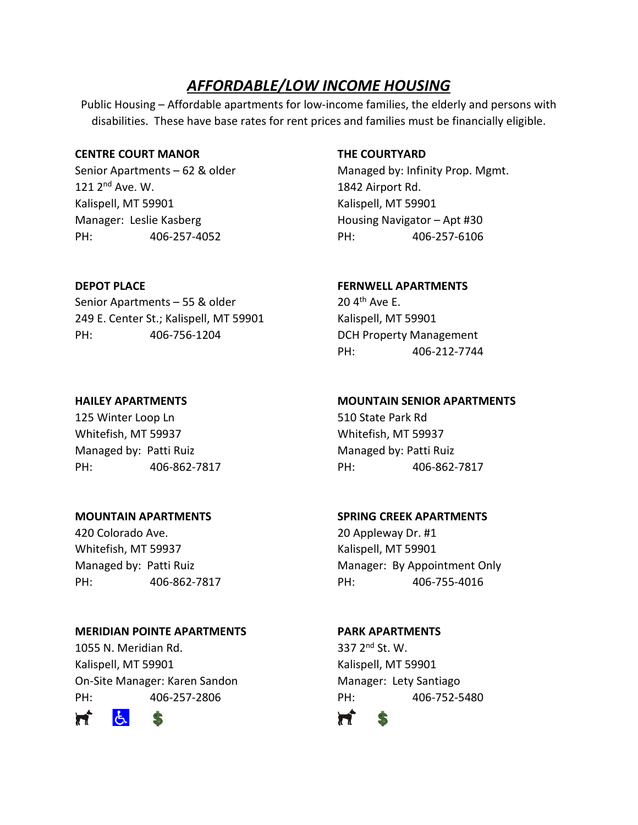# *AFFORDABLE/LOW INCOME HOUSING*

Public Housing – Affordable apartments for low-income families, the elderly and persons with disabilities. These have base rates for rent prices and families must be financially eligible.

### **CENTRE COURT MANOR THE COURTYARD**

121 2<sup>nd</sup> Ave. W. 1842 Airport Rd. Kalispell, MT 59901 Kalispell, MT 59901 Manager: Leslie Kasberg Housing Navigator – Apt #30 PH: 406-257-4052 PH: 406-257-6106

Senior Apartments – 55 & older 20  $4<sup>th</sup>$  Ave E. 249 E. Center St.; Kalispell, MT 59901 Kalispell, MT 59901 PH: 406-756-1204 DCH Property Management

125 Winter Loop Ln 510 State Park Rd Whitefish, MT 59937 Whitefish, MT 59937 Managed by: Patti Ruiz Managed by: Patti Ruiz

420 Colorado Ave. 20 Appleway Dr. #1 Whitefish, MT 59937 Kalispell, MT 59901

### **MERIDIAN POINTE APARTMENTS PARK APARTMENTS**

1055 N. Meridian Rd. 337 2<sup>nd</sup> St. W. Kalispell, MT 59901 Kalispell, MT 59901 On-Site Manager: Karen Sandon Manager: Lety Santiago PH: 406-257-2806 PH: 406-752-5480



Senior Apartments – 62 & older Managed by: Infinity Prop. Mgmt.

### **DEPOT PLACE FERNWELL APARTMENTS**

PH: 406-212-7744

### **HAILEY APARTMENTS MOUNTAIN SENIOR APARTMENTS**

PH: 406-862-7817 PH: 406-862-7817

### **MOUNTAIN APARTMENTS SPRING CREEK APARTMENTS**

Managed by: Patti Ruiz Manager: By Appointment Only PH: 406-862-7817 PH: 406-755-4016